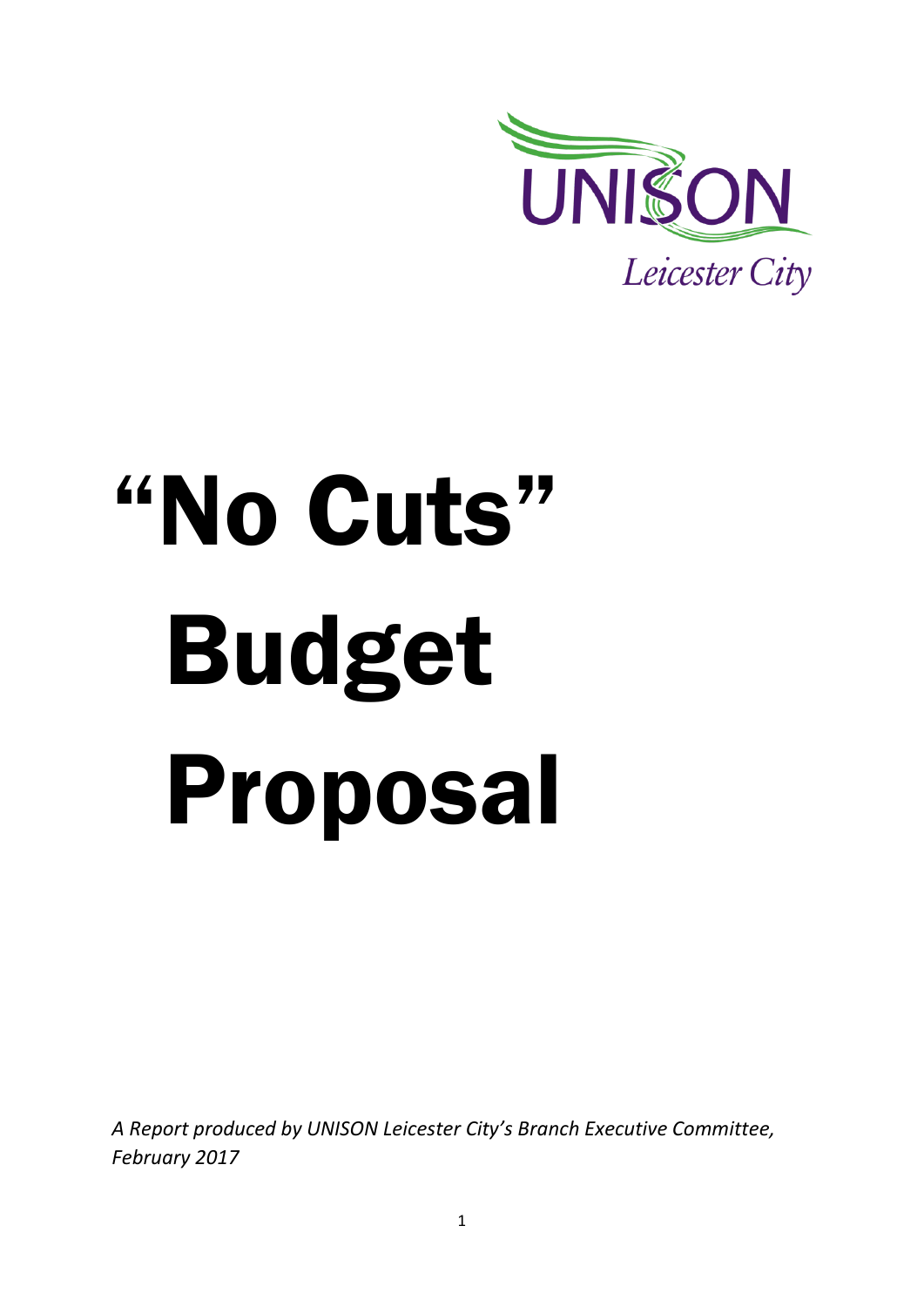

# "No Cuts" Budget Proposal

*A Report produced by UNISON Leicester City's Branch Executive Committee, February 2017*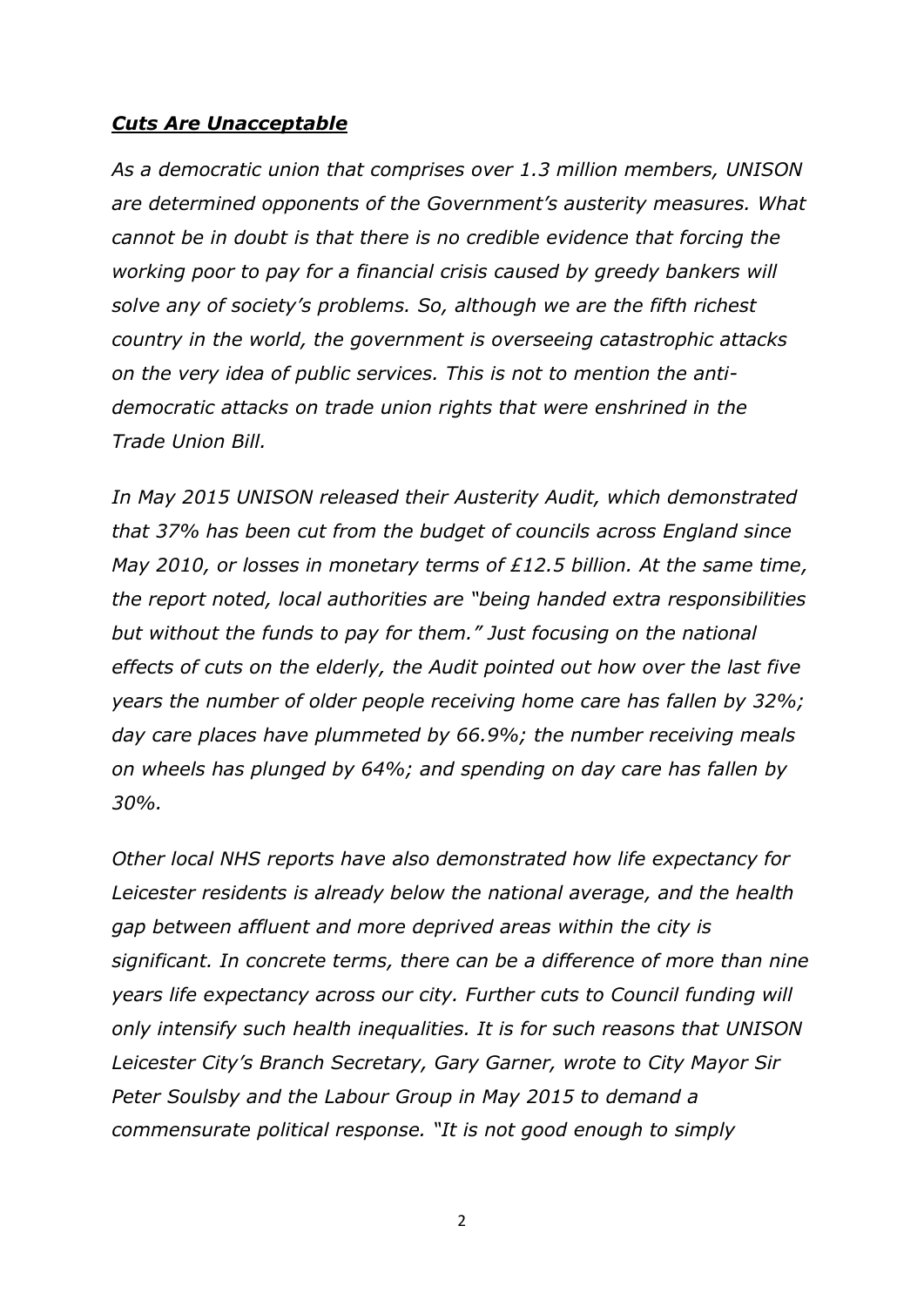#### *Cuts Are Unacceptable*

*As a democratic union that comprises over 1.3 million members, UNISON are determined opponents of the Government's austerity measures. What cannot be in doubt is that there is no credible evidence that forcing the working poor to pay for a financial crisis caused by greedy bankers will solve any of society's problems. So, although we are the fifth richest country in the world, the government is overseeing catastrophic attacks on the very idea of public services. This is not to mention the antidemocratic attacks on trade union rights that were enshrined in the Trade Union Bill.*

*In May 2015 UNISON released their Austerity Audit, which demonstrated that 37% has been cut from the budget of councils across England since May 2010, or losses in monetary terms of £12.5 billion. At the same time, the report noted, local authorities are "being handed extra responsibilities but without the funds to pay for them." Just focusing on the national effects of cuts on the elderly, the Audit pointed out how over the last five years the number of older people receiving home care has fallen by 32%; day care places have plummeted by 66.9%; the number receiving meals on wheels has plunged by 64%; and spending on day care has fallen by 30%.*

*Other local NHS reports have also demonstrated how life expectancy for Leicester residents is already below the national average, and the health gap between affluent and more deprived areas within the city is significant. In concrete terms, there can be a difference of more than nine years life expectancy across our city. Further cuts to Council funding will only intensify such health inequalities. It is for such reasons that UNISON Leicester City's Branch Secretary, Gary Garner, wrote to City Mayor Sir Peter Soulsby and the Labour Group in May 2015 to demand a commensurate political response. "It is not good enough to simply*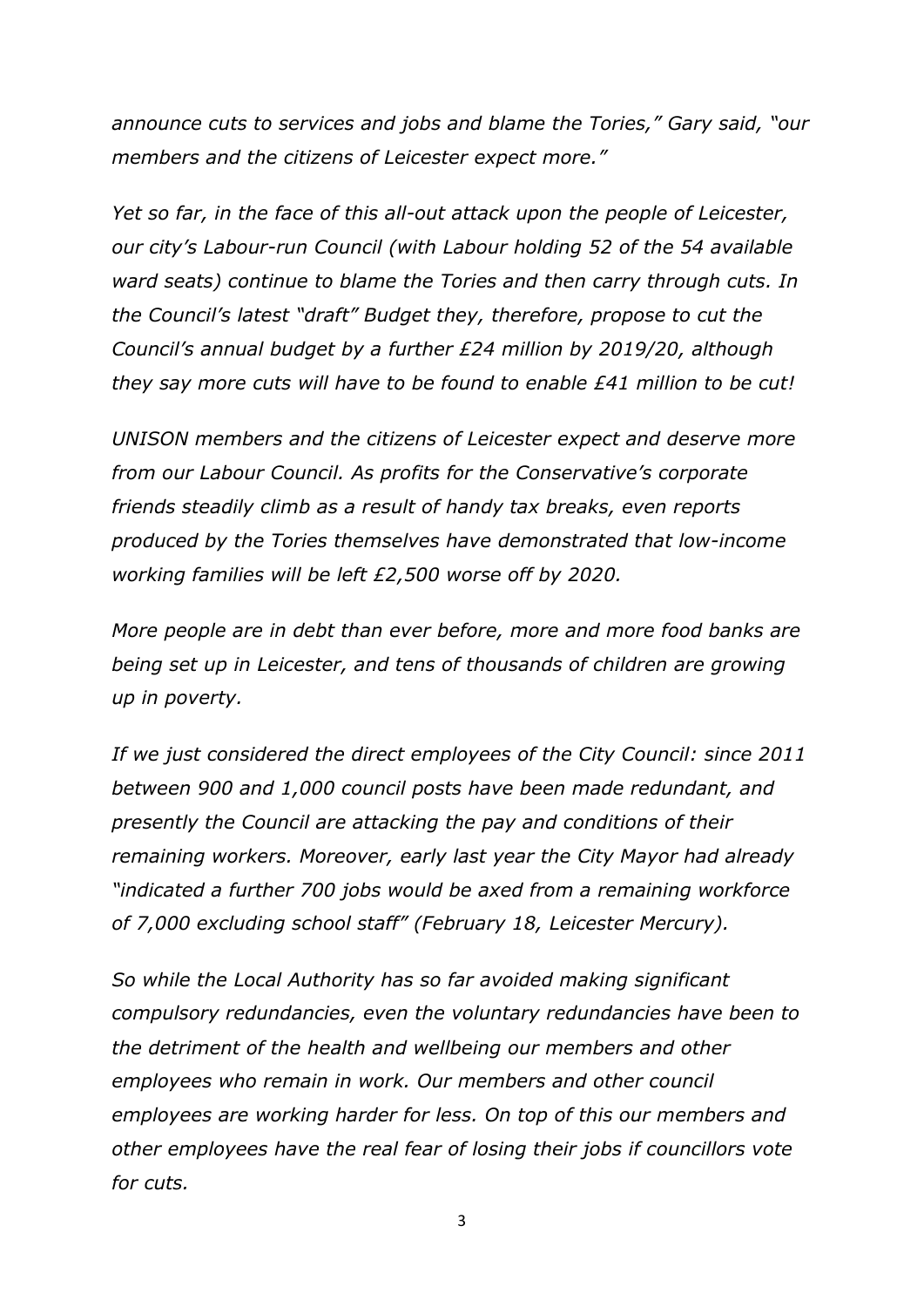*announce cuts to services and jobs and blame the Tories," Gary said, "our members and the citizens of Leicester expect more."*

*Yet so far, in the face of this all-out attack upon the people of Leicester, our city's Labour-run Council (with Labour holding 52 of the 54 available ward seats) continue to blame the Tories and then carry through cuts. In the Council's latest "draft" Budget they, therefore, propose to cut the Council's annual budget by a further £24 million by 2019/20, although they say more cuts will have to be found to enable £41 million to be cut!*

*UNISON members and the citizens of Leicester expect and deserve more from our Labour Council. As profits for the Conservative's corporate friends steadily climb as a result of handy tax breaks, even reports produced by the Tories themselves have demonstrated that low-income working families will be left £2,500 worse off by 2020.*

*More people are in debt than ever before, more and more food banks are being set up in Leicester, and tens of thousands of children are growing up in poverty.*

*If we just considered the direct employees of the City Council: since 2011 between 900 and 1,000 council posts have been made redundant, and presently the Council are attacking the pay and conditions of their remaining workers. Moreover, early last year the City Mayor had already "indicated a further 700 jobs would be axed from a remaining workforce of 7,000 excluding school staff" (February 18, Leicester Mercury).* 

*So while the Local Authority has so far avoided making significant compulsory redundancies, even the voluntary redundancies have been to the detriment of the health and wellbeing our members and other employees who remain in work. Our members and other council employees are working harder for less. On top of this our members and other employees have the real fear of losing their jobs if councillors vote for cuts.*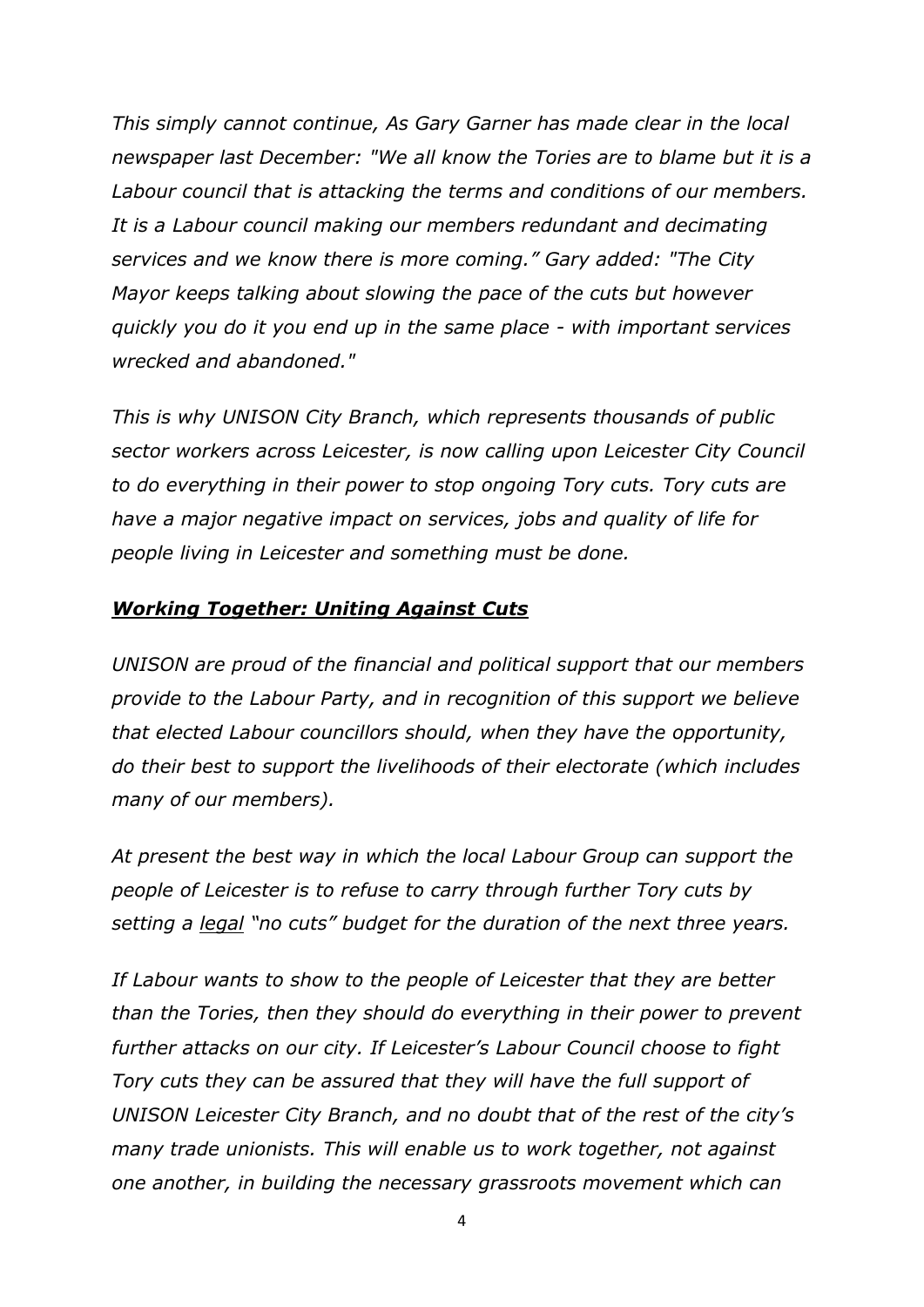*This simply cannot continue, As Gary Garner has made clear in the local newspaper last December: "We all know the Tories are to blame but it is a Labour council that is attacking the terms and conditions of our members. It is a Labour council making our members redundant and decimating services and we know there is more coming." Gary added: "The City Mayor keeps talking about slowing the pace of the cuts but however quickly you do it you end up in the same place - with important services wrecked and abandoned."* 

*This is why UNISON City Branch, which represents thousands of public sector workers across Leicester, is now calling upon Leicester City Council to do everything in their power to stop ongoing Tory cuts. Tory cuts are have a major negative impact on services, jobs and quality of life for people living in Leicester and something must be done.*

# *Working Together: Uniting Against Cuts*

*UNISON are proud of the financial and political support that our members provide to the Labour Party, and in recognition of this support we believe that elected Labour councillors should, when they have the opportunity, do their best to support the livelihoods of their electorate (which includes many of our members).* 

*At present the best way in which the local Labour Group can support the people of Leicester is to refuse to carry through further Tory cuts by setting a legal "no cuts" budget for the duration of the next three years.* 

*If Labour wants to show to the people of Leicester that they are better than the Tories, then they should do everything in their power to prevent further attacks on our city. If Leicester's Labour Council choose to fight Tory cuts they can be assured that they will have the full support of UNISON Leicester City Branch, and no doubt that of the rest of the city's many trade unionists. This will enable us to work together, not against one another, in building the necessary grassroots movement which can*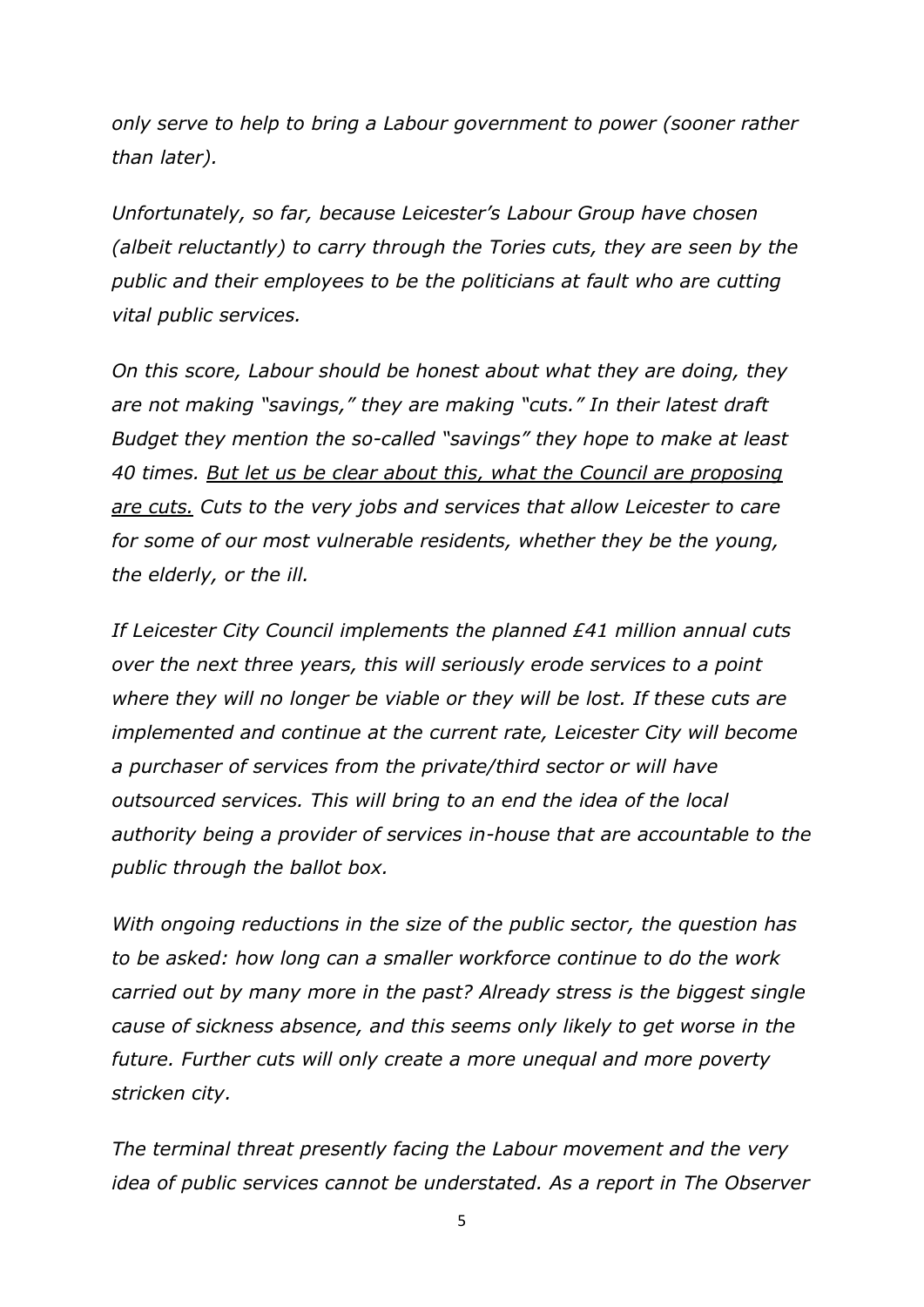*only serve to help to bring a Labour government to power (sooner rather than later).*

*Unfortunately, so far, because Leicester's Labour Group have chosen (albeit reluctantly) to carry through the Tories cuts, they are seen by the public and their employees to be the politicians at fault who are cutting vital public services.*

*On this score, Labour should be honest about what they are doing, they are not making "savings," they are making "cuts." In their latest draft Budget they mention the so-called "savings" they hope to make at least 40 times. But let us be clear about this, what the Council are proposing are cuts. Cuts to the very jobs and services that allow Leicester to care for some of our most vulnerable residents, whether they be the young, the elderly, or the ill.* 

*If Leicester City Council implements the planned £41 million annual cuts over the next three years, this will seriously erode services to a point where they will no longer be viable or they will be lost. If these cuts are implemented and continue at the current rate, Leicester City will become a purchaser of services from the private/third sector or will have outsourced services. This will bring to an end the idea of the local authority being a provider of services in-house that are accountable to the public through the ballot box.* 

*With ongoing reductions in the size of the public sector, the question has to be asked: how long can a smaller workforce continue to do the work carried out by many more in the past? Already stress is the biggest single cause of sickness absence, and this seems only likely to get worse in the future. Further cuts will only create a more unequal and more poverty stricken city.*

*The terminal threat presently facing the Labour movement and the very idea of public services cannot be understated. As a report in The Observer*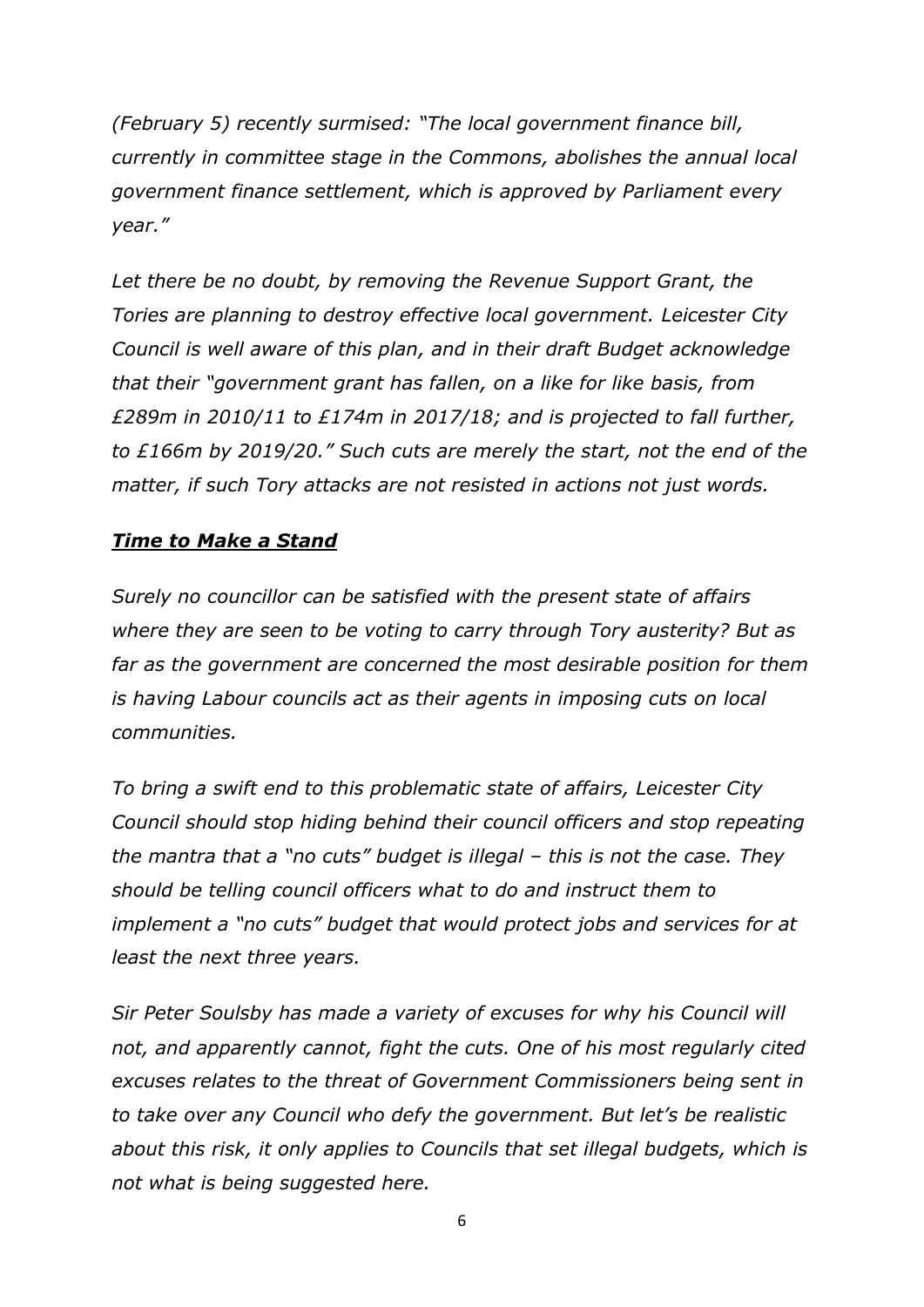*[\(February 5\)](https://www.theguardian.com/society/2017/feb/05/social-care-council-tax-communities-bill-blame-government) recently surmised: "The local government finance bill, currently in committee stage in the Commons, abolishes the annual local government finance settlement, which is approved by Parliament every year."* 

Let there be no doubt, by removing the Revenue Support Grant, the *Tories are planning to destroy effective local government. Leicester City Council is well aware of this plan, and in their draft Budget acknowledge that their "government grant has fallen, on a like for like basis, from £289m in 2010/11 to £174m in 2017/18; and is projected to fall further, to £166m by 2019/20." Such cuts are merely the start, not the end of the matter, if such Tory attacks are not resisted in actions not just words.* 

# *Time to Make a Stand*

*Surely no councillor can be satisfied with the present state of affairs where they are seen to be voting to carry through Tory austerity? But as far as the government are concerned the most desirable position for them is having Labour councils act as their agents in imposing cuts on local communities.* 

*To bring a swift end to this problematic state of affairs, Leicester City Council should stop hiding behind their council officers and stop repeating the mantra that a "no cuts" budget is illegal – this is not the case. They should be telling council officers what to do and instruct them to implement a "no cuts" budget that would protect jobs and services for at least the next three years.* 

*Sir Peter Soulsby has made a variety of excuses for why his Council will not, and apparently cannot, fight the cuts. One of his most regularly cited excuses relates to the threat of Government Commissioners being sent in to take over any Council who defy the government. But let's be realistic about this risk, it only applies to Councils that set illegal budgets, which is not what is being suggested here.*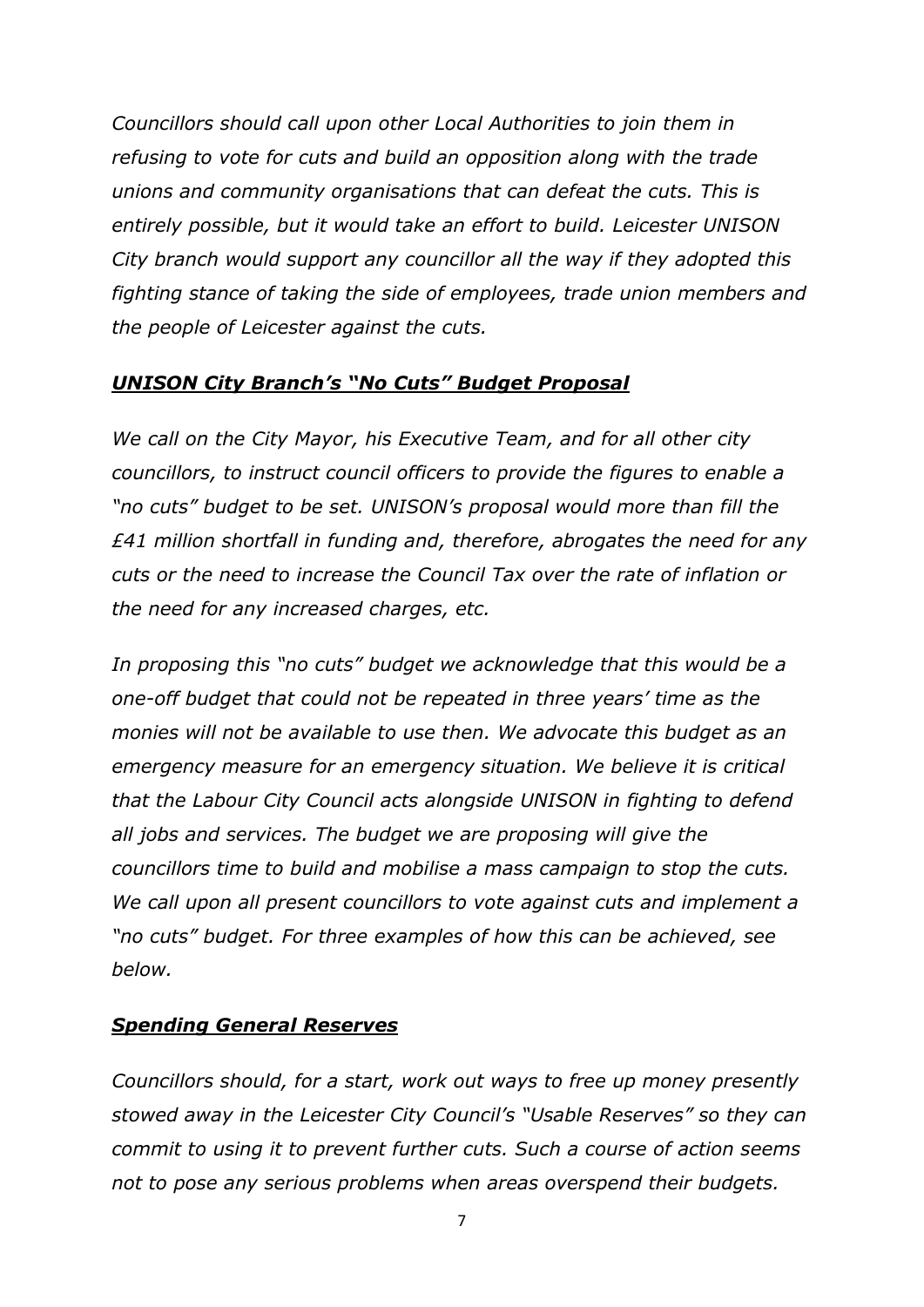*Councillors should call upon other Local Authorities to join them in refusing to vote for cuts and build an opposition along with the trade unions and community organisations that can defeat the cuts. This is entirely possible, but it would take an effort to build. Leicester UNISON City branch would support any councillor all the way if they adopted this fighting stance of taking the side of employees, trade union members and the people of Leicester against the cuts.*

## *UNISON City Branch's "No Cuts" Budget Proposal*

*We call on the City Mayor, his Executive Team, and for all other city councillors, to instruct council officers to provide the figures to enable a "no cuts" budget to be set. UNISON's proposal would more than fill the £41 million shortfall in funding and, therefore, abrogates the need for any cuts or the need to increase the Council Tax over the rate of inflation or the need for any increased charges, etc.* 

*In proposing this "no cuts" budget we acknowledge that this would be a one-off budget that could not be repeated in three years' time as the monies will not be available to use then. We advocate this budget as an emergency measure for an emergency situation. We believe it is critical that the Labour City Council acts alongside UNISON in fighting to defend all jobs and services. The budget we are proposing will give the councillors time to build and mobilise a mass campaign to stop the cuts. We call upon all present councillors to vote against cuts and implement a "no cuts" budget. For three examples of how this can be achieved, see below.*

# *Spending General Reserves*

*Councillors should, for a start, work out ways to free up money presently stowed away in the Leicester City Council's "Usable Reserves" so they can commit to using it to prevent further cuts. Such a course of action seems not to pose any serious problems when areas overspend their budgets.*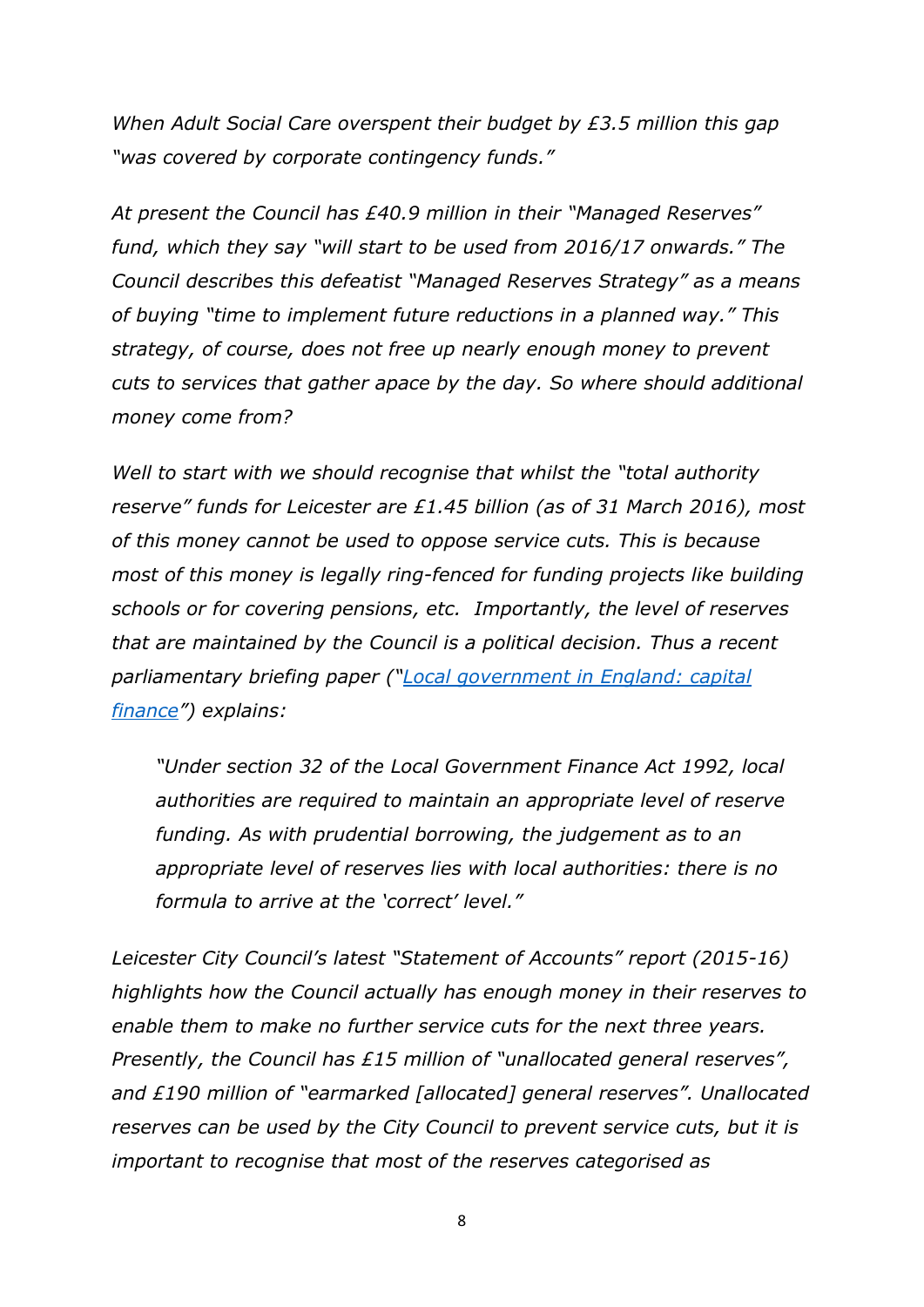*When Adult Social Care overspent their budget by £3.5 million this gap "was covered by corporate contingency funds."* 

*At present the Council has £40.9 million in their "Managed Reserves" fund, which they say "will start to be used from 2016/17 onwards." The Council describes this defeatist "Managed Reserves Strategy" as a means of buying "time to implement future reductions in a planned way." This strategy, of course, does not free up nearly enough money to prevent cuts to services that gather apace by the day. So where should additional money come from?*

*Well to start with we should recognise that whilst the "total authority reserve" funds for Leicester are £1.45 billion (as of 31 March 2016), most of this money cannot be used to oppose service cuts. This is because most of this money is legally ring-fenced for funding projects like building schools or for covering pensions, etc. Importantly, the level of reserves that are maintained by the Council is a political decision. Thus a recent parliamentary briefing paper ("[Local government in England: capital](https://www.google.co.uk/url?sa=t&rct=j&q=&esrc=s&source=web&cd=4&cad=rja&uact=8&ved=0ahUKEwi_49Ch-oXQAhVoD8AKHdMOBYUQFggzMAM&url=http%3A%2F%2Fresearchbriefings.files.parliament.uk%2Fdocuments%2FSN05797%2FSN05797.pdf&usg=AFQjCNHDnT6-YgIxI6FpeN1yf4c1PJc6ig&bvm=bv.137132246,d.ZGg)  [finance](https://www.google.co.uk/url?sa=t&rct=j&q=&esrc=s&source=web&cd=4&cad=rja&uact=8&ved=0ahUKEwi_49Ch-oXQAhVoD8AKHdMOBYUQFggzMAM&url=http%3A%2F%2Fresearchbriefings.files.parliament.uk%2Fdocuments%2FSN05797%2FSN05797.pdf&usg=AFQjCNHDnT6-YgIxI6FpeN1yf4c1PJc6ig&bvm=bv.137132246,d.ZGg)") explains:*

*"Under section 32 of the Local Government Finance Act 1992, local authorities are required to maintain an appropriate level of reserve funding. As with prudential borrowing, the judgement as to an appropriate level of reserves lies with local authorities: there is no formula to arrive at the 'correct' level."*

*Leicester City Council's latest "Statement of Accounts" report (2015-16) highlights how the Council actually has enough money in their reserves to enable them to make no further service cuts for the next three years. Presently, the Council has £15 million of "unallocated general reserves", and £190 million of "earmarked [allocated] general reserves". Unallocated reserves can be used by the City Council to prevent service cuts, but it is important to recognise that most of the reserves categorised as*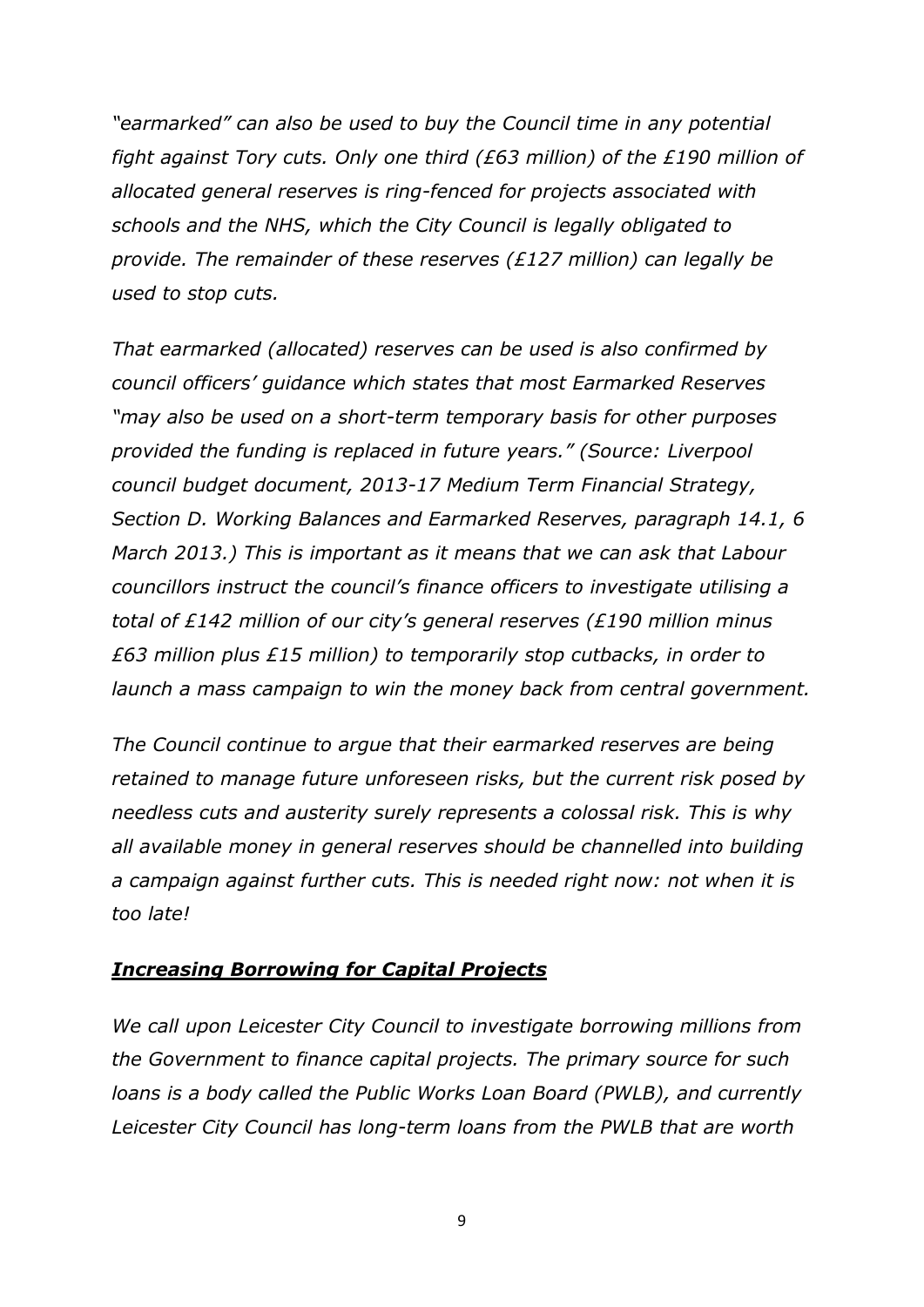*"earmarked" can also be used to buy the Council time in any potential fight against Tory cuts. Only one third (£63 million) of the £190 million of allocated general reserves is ring-fenced for projects associated with schools and the NHS, which the City Council is legally obligated to provide. The remainder of these reserves (£127 million) can legally be used to stop cuts.*

*That earmarked (allocated) reserves can be used is also confirmed by council officers' guidance which states that most Earmarked Reserves "may also be used on a short-term temporary basis for other purposes provided the funding is replaced in future years." (Source: Liverpool council budget document, 2013-17 Medium Term Financial Strategy, Section D. Working Balances and Earmarked Reserves, paragraph 14.1, 6 March 2013.) This is important as it means that we can ask that Labour councillors instruct the council's finance officers to investigate utilising a total of £142 million of our city's general reserves (£190 million minus £63 million plus £15 million) to temporarily stop cutbacks, in order to launch a mass campaign to win the money back from central government.*

*The Council continue to argue that their earmarked reserves are being retained to manage future unforeseen risks, but the current risk posed by needless cuts and austerity surely represents a colossal risk. This is why all available money in general reserves should be channelled into building a campaign against further cuts. This is needed right now: not when it is too late!*

## *Increasing Borrowing for Capital Projects*

*We call upon Leicester City Council to investigate borrowing millions from the Government to finance capital projects. The primary source for such loans is a body called the Public Works Loan Board (PWLB), and currently Leicester City Council has long-term loans from the PWLB that are worth*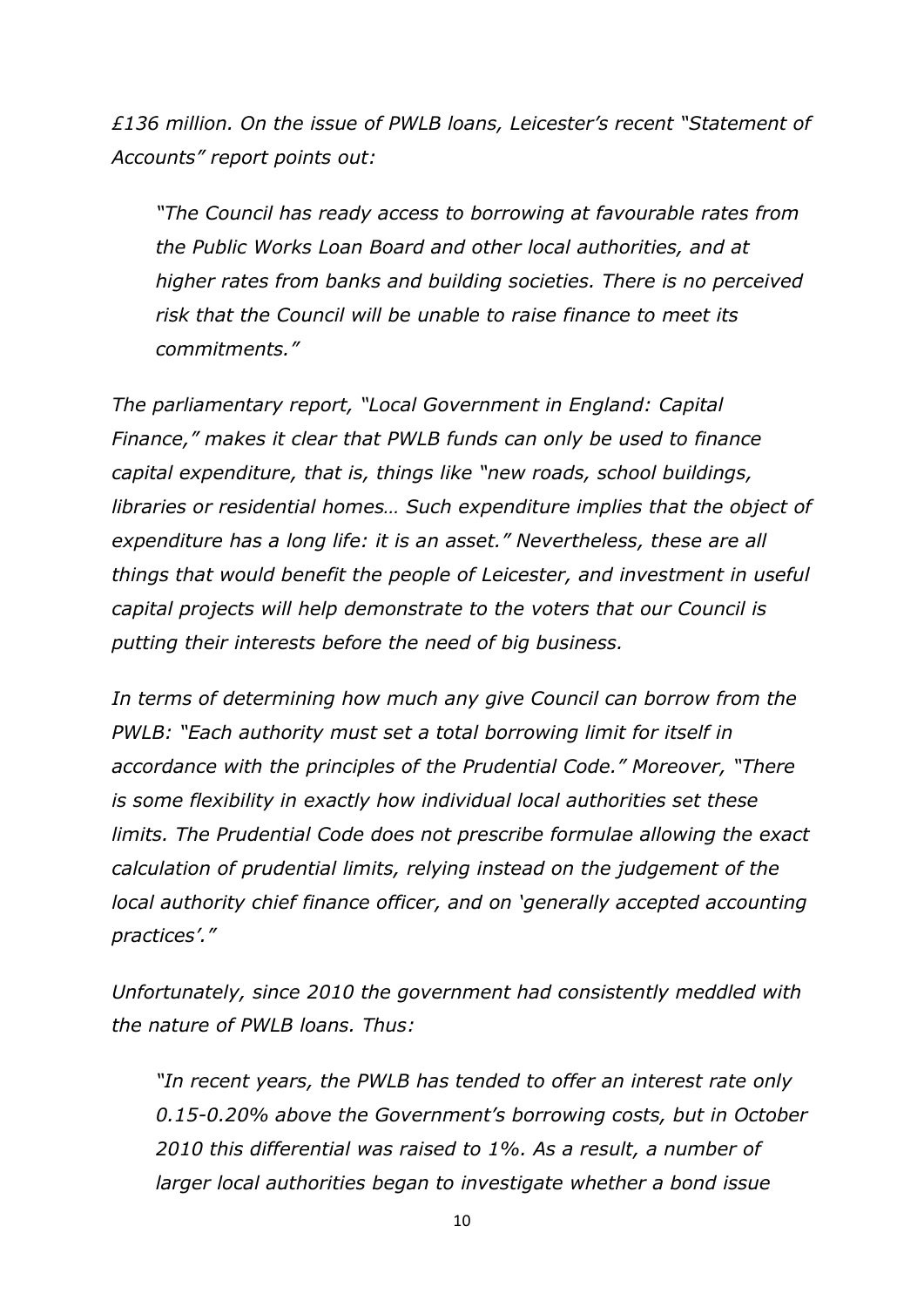*£136 million. On the issue of PWLB loans, Leicester's recent "Statement of Accounts" report points out:*

*"The Council has ready access to borrowing at favourable rates from the Public Works Loan Board and other local authorities, and at higher rates from banks and building societies. There is no perceived risk that the Council will be unable to raise finance to meet its commitments."*

*The parliamentary report, "Local Government in England: Capital Finance," makes it clear that PWLB funds can only be used to finance capital expenditure, that is, things like "new roads, school buildings, libraries or residential homes… Such expenditure implies that the object of expenditure has a long life: it is an asset." Nevertheless, these are all things that would benefit the people of Leicester, and investment in useful capital projects will help demonstrate to the voters that our Council is putting their interests before the need of big business.*

*In terms of determining how much any give Council can borrow from the PWLB: "Each authority must set a total borrowing limit for itself in accordance with the principles of the Prudential Code." Moreover, "There is some flexibility in exactly how individual local authorities set these limits. The Prudential Code does not prescribe formulae allowing the exact calculation of prudential limits, relying instead on the judgement of the local authority chief finance officer, and on 'generally accepted accounting practices'."*

*Unfortunately, since 2010 the government had consistently meddled with the nature of PWLB loans. Thus:*

*"In recent years, the PWLB has tended to offer an interest rate only 0.15-0.20% above the Government's borrowing costs, but in October 2010 this differential was raised to 1%. As a result, a number of larger local authorities began to investigate whether a bond issue*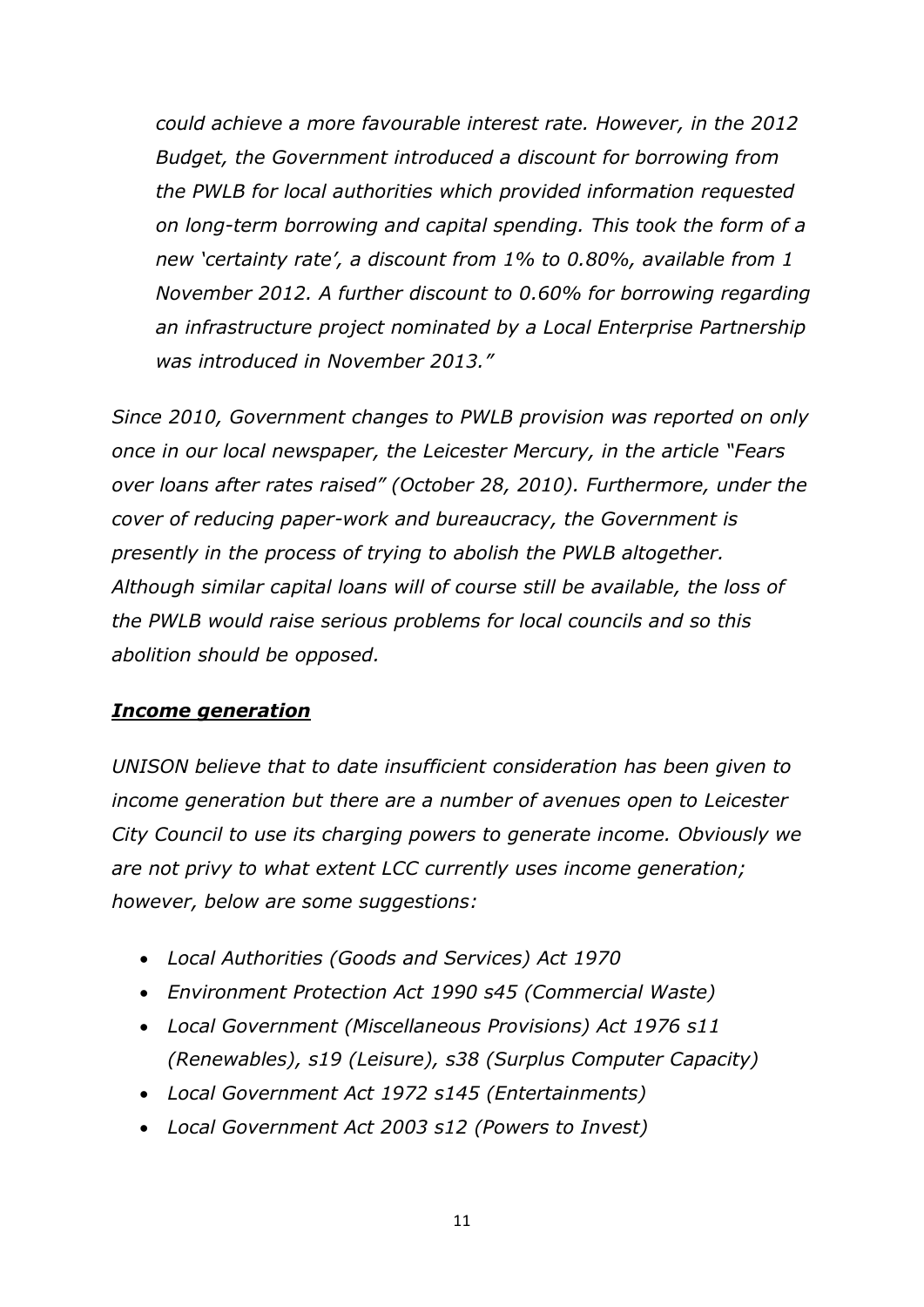*could achieve a more favourable interest rate. However, in the 2012 Budget, the Government introduced a discount for borrowing from the PWLB for local authorities which provided information requested on long-term borrowing and capital spending. This took the form of a new 'certainty rate', a discount from 1% to 0.80%, available from 1 November 2012. A further discount to 0.60% for borrowing regarding an infrastructure project nominated by a Local Enterprise Partnership was introduced in November 2013."*

*Since 2010, Government changes to PWLB provision was reported on only once in our local newspaper, the Leicester Mercury, in the article "Fears over loans after rates raised" (October 28, 2010). Furthermore, under the cover of reducing paper-work and bureaucracy, the Government is presently in the process of trying to abolish the PWLB altogether. Although similar capital loans will of course still be available, the loss of the PWLB would raise serious problems for local councils and so this abolition should be opposed.* 

# *Income generation*

*UNISON believe that to date insufficient consideration has been given to income generation but there are a number of avenues open to Leicester City Council to use its charging powers to generate income. Obviously we are not privy to what extent LCC currently uses income generation; however, below are some suggestions:*

- *Local Authorities (Goods and Services) Act 1970*
- *Environment Protection Act 1990 s45 (Commercial Waste)*
- *Local Government (Miscellaneous Provisions) Act 1976 s11 (Renewables), s19 (Leisure), s38 (Surplus Computer Capacity)*
- *Local Government Act 1972 s145 (Entertainments)*
- *Local Government Act 2003 s12 (Powers to Invest)*